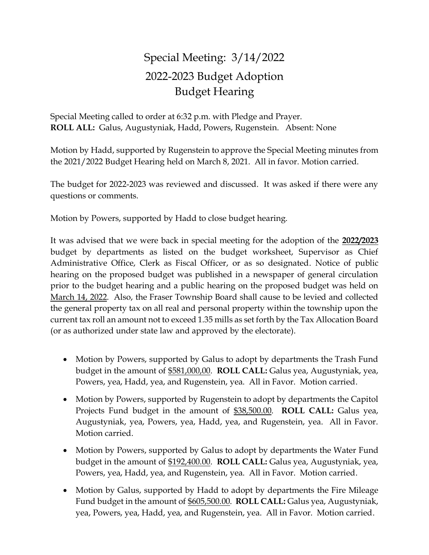## Special Meeting: 3/14/2022 2022-2023 Budget Adoption Budget Hearing

Special Meeting called to order at 6:32 p.m. with Pledge and Prayer. **ROLL ALL:** Galus, Augustyniak, Hadd, Powers, Rugenstein. Absent: None

Motion by Hadd, supported by Rugenstein to approve the Special Meeting minutes from the 2021/2022 Budget Hearing held on March 8, 2021. All in favor. Motion carried.

The budget for 2022-2023 was reviewed and discussed. It was asked if there were any questions or comments.

Motion by Powers, supported by Hadd to close budget hearing.

It was advised that we were back in special meeting for the adoption of the **2022/2023** budget by departments as listed on the budget worksheet, Supervisor as Chief Administrative Office, Clerk as Fiscal Officer, or as so designated. Notice of public hearing on the proposed budget was published in a newspaper of general circulation prior to the budget hearing and a public hearing on the proposed budget was held on March 14, 2022. Also, the Fraser Township Board shall cause to be levied and collected the general property tax on all real and personal property within the township upon the current tax roll an amount not to exceed 1.35 mills as set forth by the Tax Allocation Board (or as authorized under state law and approved by the electorate).

- Motion by Powers, supported by Galus to adopt by departments the Trash Fund budget in the amount of \$581,000,00. **ROLL CALL:** Galus yea, Augustyniak, yea, Powers, yea, Hadd, yea, and Rugenstein, yea. All in Favor. Motion carried.
- Motion by Powers, supported by Rugenstein to adopt by departments the Capitol Projects Fund budget in the amount of \$38,500.00. **ROLL CALL:** Galus yea, Augustyniak, yea, Powers, yea, Hadd, yea, and Rugenstein, yea. All in Favor. Motion carried.
- Motion by Powers, supported by Galus to adopt by departments the Water Fund budget in the amount of \$192,400.00. **ROLL CALL:** Galus yea, Augustyniak, yea, Powers, yea, Hadd, yea, and Rugenstein, yea. All in Favor. Motion carried.
- Motion by Galus, supported by Hadd to adopt by departments the Fire Mileage Fund budget in the amount of \$605,500.00. **ROLL CALL:** Galus yea, Augustyniak, yea, Powers, yea, Hadd, yea, and Rugenstein, yea. All in Favor. Motion carried.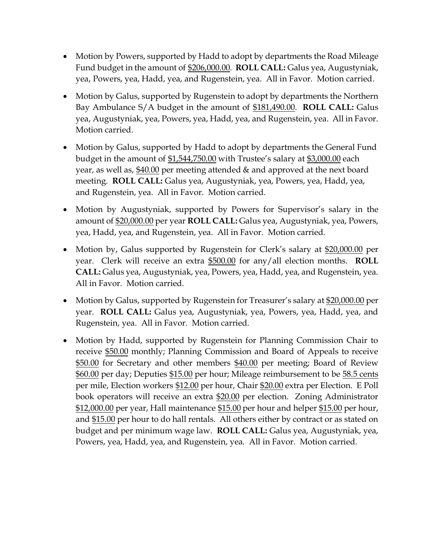- Motion by Powers, supported by Hadd to adopt by departments the Road Mileage Fund budget in the amount of \$206,000.00. **ROLL CALL:** Galus yea, Augustyniak, yea, Powers, yea, Hadd, yea, and Rugenstein, yea. All in Favor. Motion carried.
- Motion by Galus, supported by Rugenstein to adopt by departments the Northern Bay Ambulance S/A budget in the amount of \$181,490.00. **ROLL CALL:** Galus yea, Augustyniak, yea, Powers, yea, Hadd, yea, and Rugenstein, yea. All in Favor. Motion carried.
- Motion by Galus, supported by Hadd to adopt by departments the General Fund budget in the amount of \$1,544,750.00 with Trustee's salary at \$3,000.00 each year, as well as, \$40.00 per meeting attended & and approved at the next board meeting. **ROLL CALL:** Galus yea, Augustyniak, yea, Powers, yea, Hadd, yea, and Rugenstein, yea. All in Favor. Motion carried.
- Motion by Augustyniak, supported by Powers for Supervisor's salary in the amount of \$20,000.00 per year **ROLL CALL:** Galus yea, Augustyniak, yea, Powers, yea, Hadd, yea, and Rugenstein, yea. All in Favor. Motion carried.
- Motion by, Galus supported by Rugenstein for Clerk's salary at \$20,000.00 per year. Clerk will receive an extra \$500.00 for any/all election months. **ROLL CALL:** Galus yea, Augustyniak, yea, Powers, yea, Hadd, yea, and Rugenstein, yea. All in Favor. Motion carried.
- Motion by Galus, supported by Rugenstein for Treasurer's salary at \$20,000.00 per year. **ROLL CALL:** Galus yea, Augustyniak, yea, Powers, yea, Hadd, yea, and Rugenstein, yea. All in Favor. Motion carried.
- Motion by Hadd, supported by Rugenstein for Planning Commission Chair to receive \$50.00 monthly; Planning Commission and Board of Appeals to receive \$50.00 for Secretary and other members \$40.00 per meeting; Board of Review \$60.00 per day; Deputies \$15.00 per hour; Mileage reimbursement to be 58.5 cents per mile, Election workers \$12.00 per hour, Chair \$20.00 extra per Election. E Poll book operators will receive an extra \$20.00 per election. Zoning Administrator \$12,000.00 per year, Hall maintenance \$15.00 per hour and helper \$15.00 per hour, and \$15.00 per hour to do hall rentals. All others either by contract or as stated on budget and per minimum wage law. **ROLL CALL:** Galus yea, Augustyniak, yea, Powers, yea, Hadd, yea, and Rugenstein, yea. All in Favor. Motion carried.